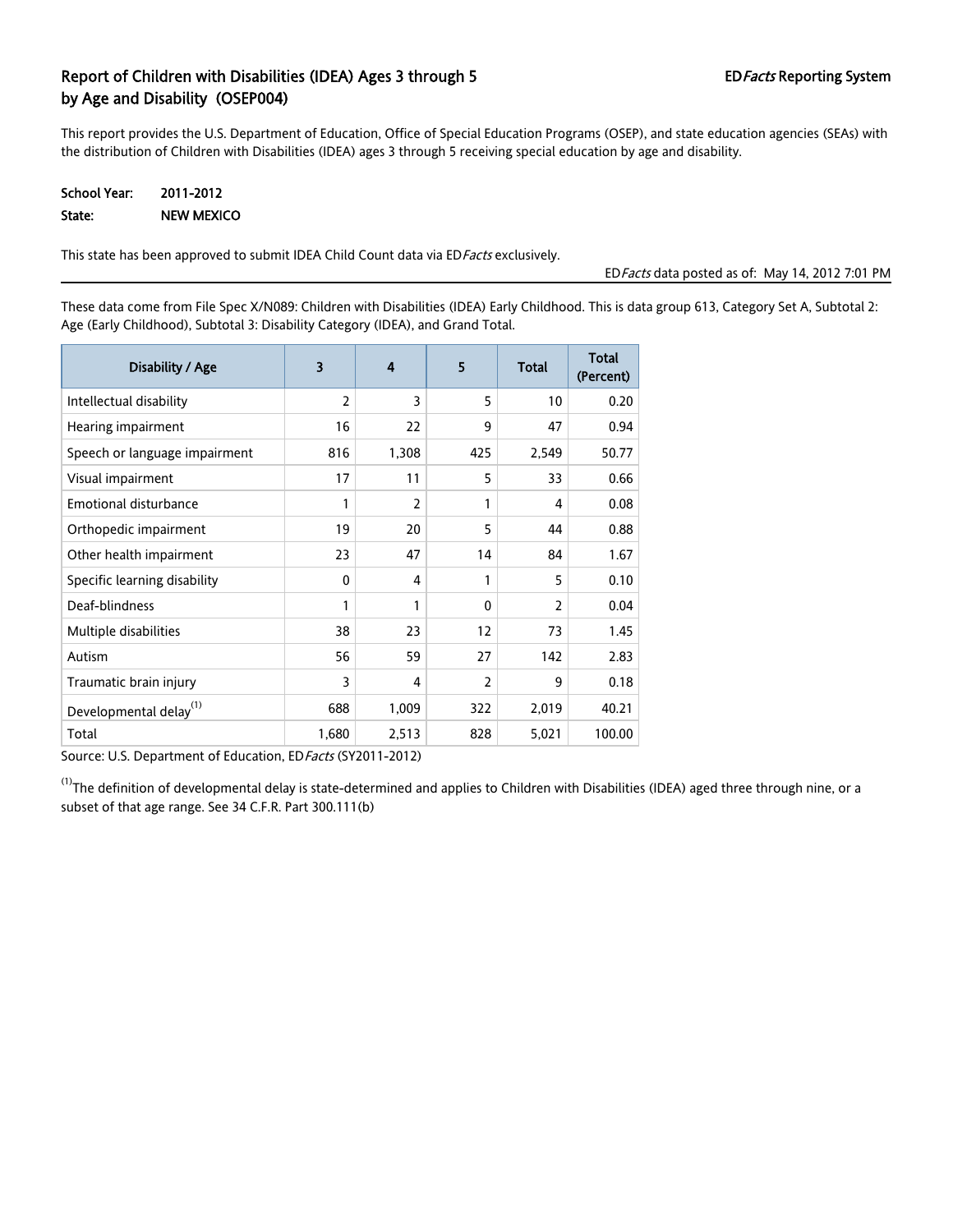# Report of Children with Disabilities (IDEA) Ages 3 through 5 EDFacts Reporting System by Age and Disability (OSEP004)

This report provides the U.S. Department of Education, Office of Special Education Programs (OSEP), and state education agencies (SEAs) with the distribution of Children with Disabilities (IDEA) ages 3 through 5 receiving special education by age and disability.

| School Year: | 2011-2012  |
|--------------|------------|
| State:       | NEW MEXICO |

This state has been approved to submit IDEA Child Count data via EDFacts exclusively.

EDFacts data posted as of: May 14, 2012 7:01 PM

These data come from File Spec X/N089: Children with Disabilities (IDEA) Early Childhood. This is data group 613, Category Set A, Subtotal 2: Age (Early Childhood), Subtotal 3: Disability Category (IDEA), and Grand Total.

| Disability / Age                   | 3              | $\boldsymbol{4}$ | 5              | <b>Total</b>   | <b>Total</b><br>(Percent) |
|------------------------------------|----------------|------------------|----------------|----------------|---------------------------|
| Intellectual disability            | $\overline{2}$ | 3                | 5              | 10             | 0.20                      |
| Hearing impairment                 | 16             | 22               | 9              | 47             | 0.94                      |
| Speech or language impairment      | 816            | 1,308            | 425            | 2,549          | 50.77                     |
| Visual impairment                  | 17             | 11               | 5              | 33             | 0.66                      |
| <b>Emotional disturbance</b>       | 1              | 2                | 1              | 4              | 0.08                      |
| Orthopedic impairment              | 19             | 20               | 5              | 44             | 0.88                      |
| Other health impairment            | 23             | 47               | 14             | 84             | 1.67                      |
| Specific learning disability       | $\mathbf{0}$   | 4                | 1              | 5              | 0.10                      |
| Deaf-blindness                     | 1              | 1                | $\mathbf{0}$   | $\overline{2}$ | 0.04                      |
| Multiple disabilities              | 38             | 23               | 12             | 73             | 1.45                      |
| Autism                             | 56             | 59               | 27             | 142            | 2.83                      |
| Traumatic brain injury             | 3              | 4                | $\overline{2}$ | 9              | 0.18                      |
| Developmental delay <sup>(1)</sup> | 688            | 1,009            | 322            | 2,019          | 40.21                     |
| Total                              | 1,680          | 2,513            | 828            | 5,021          | 100.00                    |

Source: U.S. Department of Education, ED Facts (SY2011-2012)

 $^{(1)}$ The definition of developmental delay is state-determined and applies to Children with Disabilities (IDEA) aged three through nine, or a subset of that age range. See 34 C.F.R. Part 300.111(b)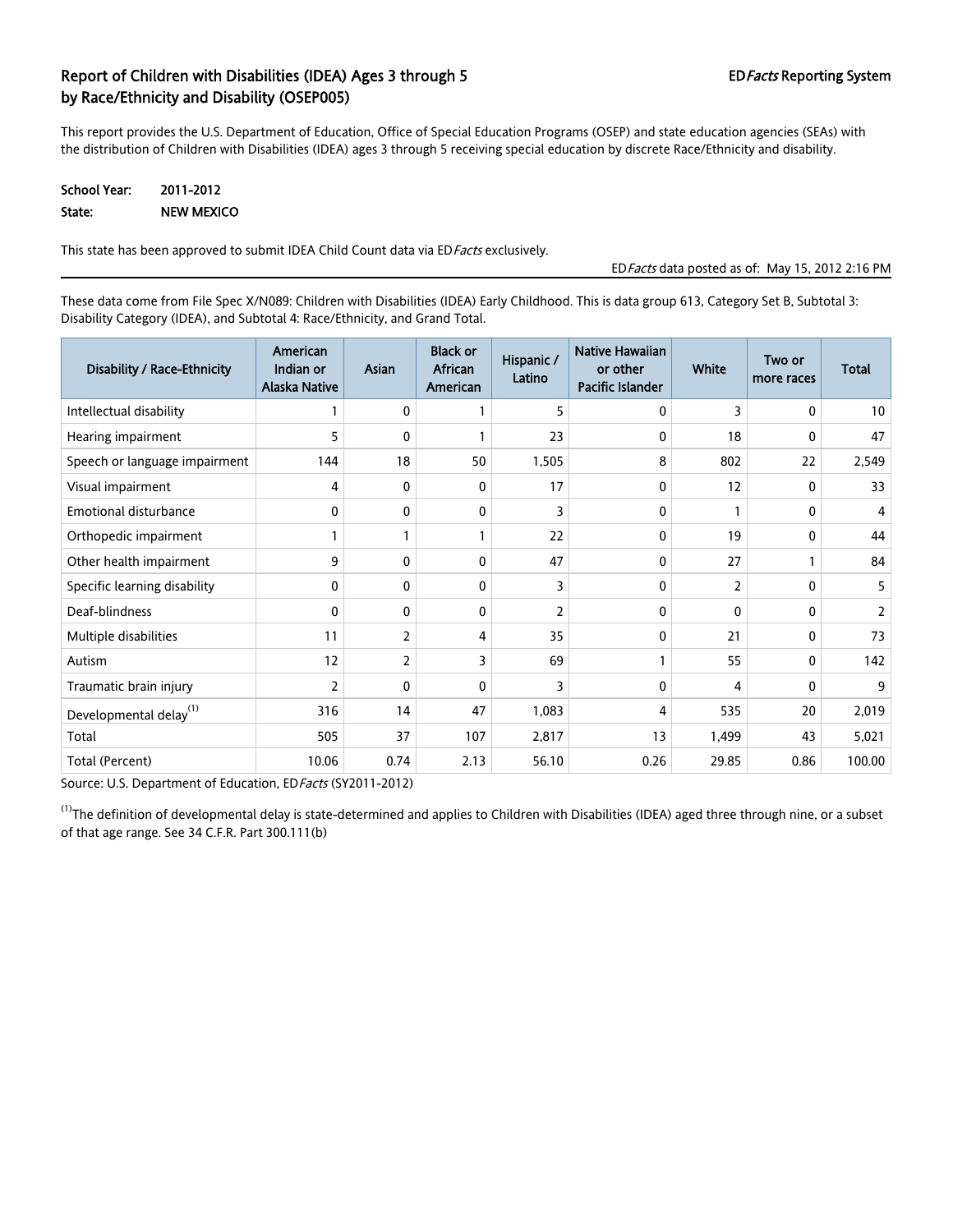## Report of Children with Disabilities (IDEA) Ages 3 through 5 EDFacts Reporting System by Race/Ethnicity and Disability (OSEP005)

This report provides the U.S. Department of Education, Office of Special Education Programs (OSEP) and state education agencies (SEAs) with the distribution of Children with Disabilities (IDEA) ages 3 through 5 receiving special education by discrete Race/Ethnicity and disability.

#### School Year: 2011-2012 State: NEW MEXICO

This state has been approved to submit IDEA Child Count data via ED Facts exclusively.

EDFacts data posted as of: May 15, 2012 2:16 PM

These data come from File Spec X/N089: Children with Disabilities (IDEA) Early Childhood. This is data group 613, Category Set B, Subtotal 3: Disability Category (IDEA), and Subtotal 4: Race/Ethnicity, and Grand Total.

| Disability / Race-Ethnicity        | American<br>Indian or<br><b>Alaska Native</b> | <b>Asian</b> | <b>Black or</b><br>African<br>American | Hispanic /<br>Latino | <b>Native Hawaiian</b><br>or other<br>Pacific Islander | White    | Two or<br>more races | Total  |
|------------------------------------|-----------------------------------------------|--------------|----------------------------------------|----------------------|--------------------------------------------------------|----------|----------------------|--------|
| Intellectual disability            | 1                                             | 0            |                                        | 5                    | 0                                                      | 3        | 0                    | 10     |
| Hearing impairment                 | 5                                             | 0            |                                        | 23                   | 0                                                      | 18       | 0                    | 47     |
| Speech or language impairment      | 144                                           | 18           | 50                                     | 1,505                | 8                                                      | 802      | 22                   | 2,549  |
| Visual impairment                  | 4                                             | 0            | 0                                      | 17                   | 0                                                      | 12       | 0                    | 33     |
| <b>Emotional disturbance</b>       | 0                                             | 0            | 0                                      | 3                    | 0                                                      |          | 0                    | 4      |
| Orthopedic impairment              |                                               |              |                                        | 22                   | 0                                                      | 19       | 0                    | 44     |
| Other health impairment            | 9                                             | 0            | 0                                      | 47                   | 0                                                      | 27       |                      | 84     |
| Specific learning disability       | 0                                             | 0            | 0                                      | 3                    | 0                                                      | 2        | 0                    | 5      |
| Deaf-blindness                     | $\mathbf{0}$                                  | 0            | $\mathbf{0}$                           | $\overline{2}$       | 0                                                      | $\Omega$ | 0                    | 2      |
| Multiple disabilities              | 11                                            | 2            | 4                                      | 35                   | 0                                                      | 21       | 0                    | 73     |
| Autism                             | 12                                            | 2            | 3                                      | 69                   | 1                                                      | 55       | 0                    | 142    |
| Traumatic brain injury             | $\overline{2}$                                | 0            | $\mathbf{0}$                           | 3                    | 0                                                      | 4        | 0                    | 9      |
| Developmental delay <sup>(1)</sup> | 316                                           | 14           | 47                                     | 1,083                | 4                                                      | 535      | 20                   | 2,019  |
| Total                              | 505                                           | 37           | 107                                    | 2,817                | 13                                                     | 1,499    | 43                   | 5,021  |
| Total (Percent)                    | 10.06                                         | 0.74         | 2.13                                   | 56.10                | 0.26                                                   | 29.85    | 0.86                 | 100.00 |

Source: U.S. Department of Education, ED Facts (SY2011-2012)

 $^{(1)}$ The definition of developmental delay is state-determined and applies to Children with Disabilities (IDEA) aged three through nine, or a subset of that age range. See 34 C.F.R. Part 300.111(b)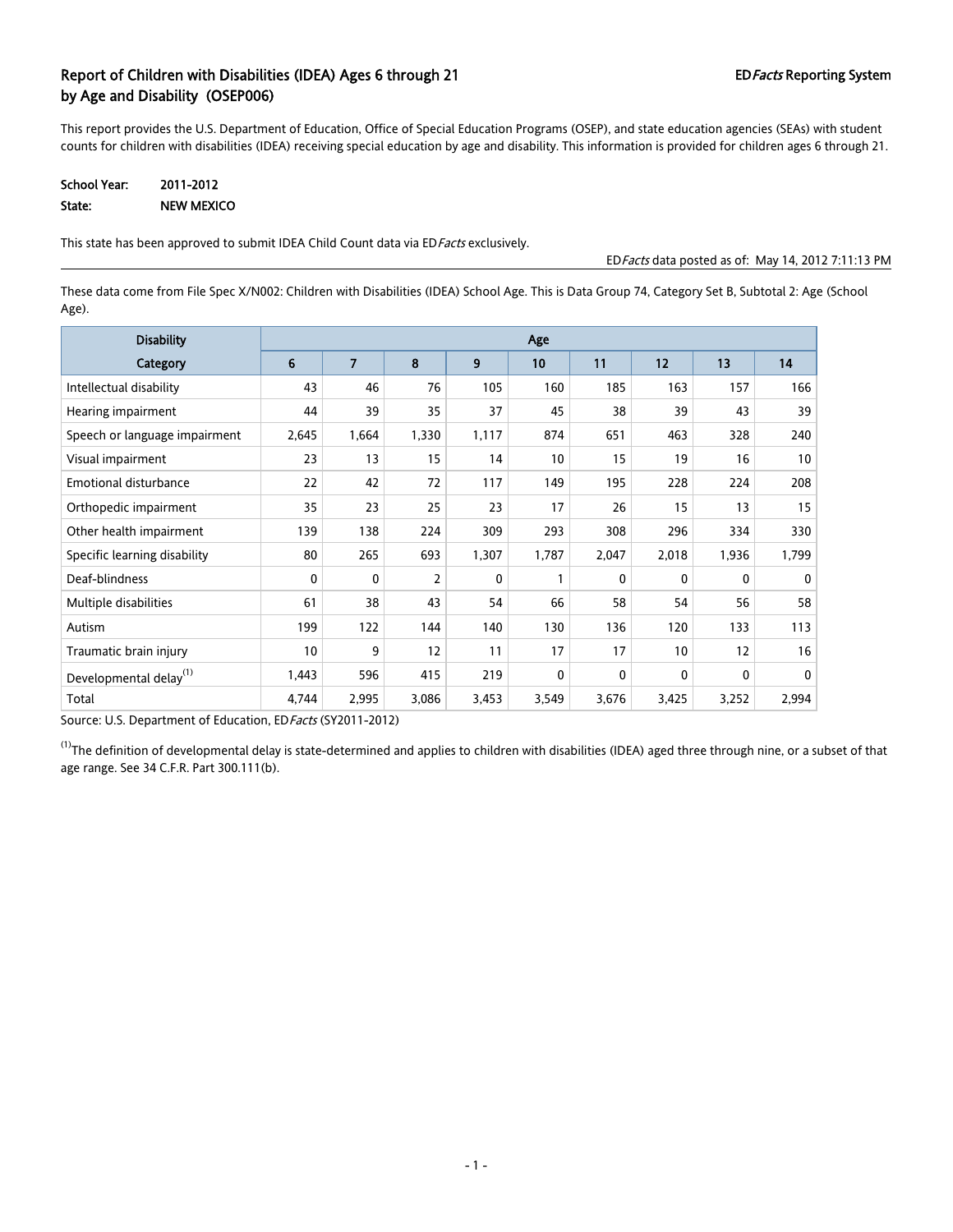### Report of Children with Disabilities (IDEA) Ages 6 through 21 EDFacts Reporting System by Age and Disability (OSEP006)

This report provides the U.S. Department of Education, Office of Special Education Programs (OSEP), and state education agencies (SEAs) with student counts for children with disabilities (IDEA) receiving special education by age and disability. This information is provided for children ages 6 through 21.

| <b>School Year:</b> | 2011-2012         |
|---------------------|-------------------|
| State:              | <b>NEW MEXICO</b> |

This state has been approved to submit IDEA Child Count data via ED Facts exclusively.

EDFacts data posted as of: May 14, 2012 7:11:13 PM

These data come from File Spec X/N002: Children with Disabilities (IDEA) School Age. This is Data Group 74, Category Set B, Subtotal 2: Age (School Age).

| <b>Disability</b>                  |                  | Age            |                |              |              |              |                 |       |          |
|------------------------------------|------------------|----------------|----------------|--------------|--------------|--------------|-----------------|-------|----------|
| Category                           | $\boldsymbol{6}$ | $\overline{7}$ | 8              | 9            | 10           | 11           | 12              | 13    | 14       |
| Intellectual disability            | 43               | 46             | 76             | 105          | 160          | 185          | 163             | 157   | 166      |
| Hearing impairment                 | 44               | 39             | 35             | 37           | 45           | 38           | 39              | 43    | 39       |
| Speech or language impairment      | 2,645            | 1,664          | 1,330          | 1,117        | 874          | 651          | 463             | 328   | 240      |
| Visual impairment                  | 23               | 13             | 15             | 14           | 10           | 15           | 19              | 16    | 10       |
| <b>Emotional disturbance</b>       | 22               | 42             | 72             | 117          | 149          | 195          | 228             | 224   | 208      |
| Orthopedic impairment              | 35               | 23             | 25             | 23           | 17           | 26           | 15              | 13    | 15       |
| Other health impairment            | 139              | 138            | 224            | 309          | 293          | 308          | 296             | 334   | 330      |
| Specific learning disability       | 80               | 265            | 693            | 1,307        | 1,787        | 2,047        | 2,018           | 1,936 | 1,799    |
| Deaf-blindness                     | $\mathbf{0}$     | 0              | $\overline{2}$ | $\mathbf{0}$ |              | $\mathbf{0}$ | $\mathbf{0}$    | 0     | $\Omega$ |
| Multiple disabilities              | 61               | 38             | 43             | 54           | 66           | 58           | 54              | 56    | 58       |
| Autism                             | 199              | 122            | 144            | 140          | 130          | 136          | 120             | 133   | 113      |
| Traumatic brain injury             | 10               | 9              | 12             | 11           | 17           | 17           | 10 <sup>°</sup> | 12    | 16       |
| Developmental delay <sup>(1)</sup> | 1,443            | 596            | 415            | 219          | $\mathbf{0}$ | $\mathbf{0}$ | $\mathbf{0}$    | 0     | 0        |
| Total                              | 4,744            | 2,995          | 3,086          | 3,453        | 3,549        | 3,676        | 3,425           | 3,252 | 2,994    |

Source: U.S. Department of Education, EDFacts (SY2011-2012)

 $^{(1)}$ The definition of developmental delay is state-determined and applies to children with disabilities (IDEA) aged three through nine, or a subset of that age range. See 34 C.F.R. Part 300.111(b).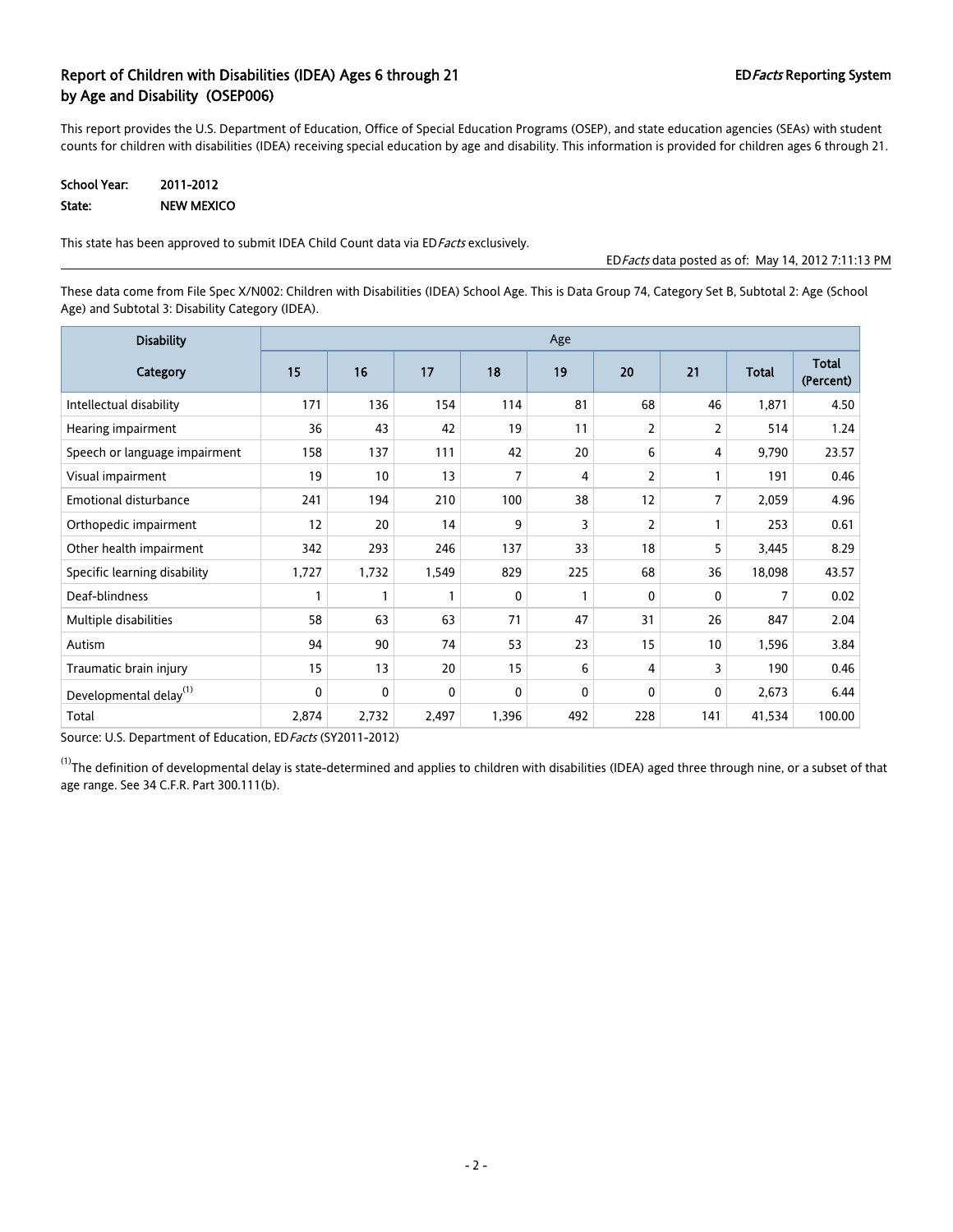### Report of Children with Disabilities (IDEA) Ages 6 through 21 EDFacts Reporting System by Age and Disability (OSEP006)

This report provides the U.S. Department of Education, Office of Special Education Programs (OSEP), and state education agencies (SEAs) with student counts for children with disabilities (IDEA) receiving special education by age and disability. This information is provided for children ages 6 through 21.

| <b>School Year:</b> | 2011-2012  |
|---------------------|------------|
| State:              | NEW MEXICO |

This state has been approved to submit IDEA Child Count data via ED Facts exclusively.

EDFacts data posted as of: May 14, 2012 7:11:13 PM

These data come from File Spec X/N002: Children with Disabilities (IDEA) School Age. This is Data Group 74, Category Set B, Subtotal 2: Age (School Age) and Subtotal 3: Disability Category (IDEA).

| <b>Disability</b>                  |       | Age          |              |       |     |     |                |              |                           |
|------------------------------------|-------|--------------|--------------|-------|-----|-----|----------------|--------------|---------------------------|
| Category                           | 15    | 16           | 17           | 18    | 19  | 20  | 21             | <b>Total</b> | <b>Total</b><br>(Percent) |
| Intellectual disability            | 171   | 136          | 154          | 114   | 81  | 68  | 46             | 1,871        | 4.50                      |
| Hearing impairment                 | 36    | 43           | 42           | 19    | 11  | 2   | $\overline{2}$ | 514          | 1.24                      |
| Speech or language impairment      | 158   | 137          | 111          | 42    | 20  | 6   | 4              | 9,790        | 23.57                     |
| Visual impairment                  | 19    | 10           | 13           | 7     | 4   | 2   |                | 191          | 0.46                      |
| <b>Emotional disturbance</b>       | 241   | 194          | 210          | 100   | 38  | 12  | 7              | 2,059        | 4.96                      |
| Orthopedic impairment              | 12    | 20           | 14           | 9     | 3   | 2   |                | 253          | 0.61                      |
| Other health impairment            | 342   | 293          | 246          | 137   | 33  | 18  | 5              | 3,445        | 8.29                      |
| Specific learning disability       | 1,727 | 1,732        | 1,549        | 829   | 225 | 68  | 36             | 18,098       | 43.57                     |
| Deaf-blindness                     | 1     | $\mathbf{1}$ | $\mathbf{1}$ | 0     | 1   | 0   | $\mathbf{0}$   | 7            | 0.02                      |
| Multiple disabilities              | 58    | 63           | 63           | 71    | 47  | 31  | 26             | 847          | 2.04                      |
| Autism                             | 94    | 90           | 74           | 53    | 23  | 15  | 10             | 1,596        | 3.84                      |
| Traumatic brain injury             | 15    | 13           | 20           | 15    | 6   | 4   | 3              | 190          | 0.46                      |
| Developmental delay <sup>(1)</sup> | 0     | 0            | 0            | 0     | 0   | 0   | 0              | 2,673        | 6.44                      |
| Total                              | 2,874 | 2,732        | 2,497        | 1,396 | 492 | 228 | 141            | 41,534       | 100.00                    |

Source: U.S. Department of Education, ED Facts (SY2011-2012)

 $^{(1)}$ The definition of developmental delay is state-determined and applies to children with disabilities (IDEA) aged three through nine, or a subset of that age range. See 34 C.F.R. Part 300.111(b).